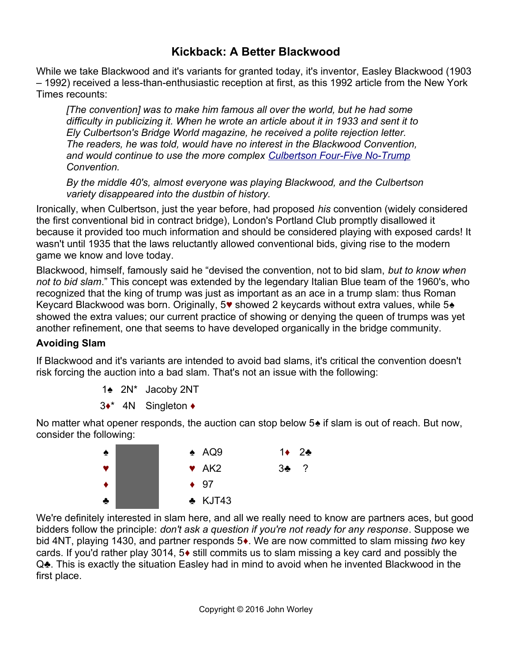# **Kickback: A Better Blackwood**

While we take Blackwood and it's variants for granted today, it's inventor, Easley Blackwood (1903 – 1992) received a less-than-enthusiastic reception at first, as this 1992 article from the New York Times recounts:

*[The convention] was to make him famous all over the world, but he had some difficulty in publicizing it. When he wrote an article about it in 1933 and sent it to Ely Culbertson's Bridge World magazine, he received a polite rejection letter. The readers, he was told, would have no interest in the Blackwood Convention, and would continue to use the more complex [Culbertson Four-Five No-Trump](http://www.bridgeguys.com/Conventions/culbertson_four_five_no_trump.html) Convention.*

*By the middle 40's, almost everyone was playing Blackwood, and the Culbertson variety disappeared into the dustbin of history.*

Ironically, when Culbertson, just the year before, had proposed *his* convention (widely considered the first conventional bid in contract bridge), London's Portland Club promptly disallowed it because it provided too much information and should be considered playing with exposed cards! It wasn't until 1935 that the laws reluctantly allowed conventional bids, giving rise to the modern game we know and love today.

Blackwood, himself, famously said he "devised the convention, not to bid slam, *but to know when not to bid slam*." This concept was extended by the legendary Italian Blue team of the 1960's, who recognized that the king of trump was just as important as an ace in a trump slam: thus Roman Keycard Blackwood was born. Originally, 5♥ showed 2 keycards without extra values, while 5♠ showed the extra values; our current practice of showing or denying the queen of trumps was yet another refinement, one that seems to have developed organically in the bridge community.

## **Avoiding Slam**

If Blackwood and it's variants are intended to avoid bad slams, it's critical the convention doesn't risk forcing the auction into a bad slam. That's not an issue with the following:

- 1♠ 2N\* Jacoby 2NT
- 3♦\* 4N Singleton ♦

No matter what opener responds, the auction can stop below 5 $\triangle$  if slam is out of reach. But now, consider the following:



We're definitely interested in slam here, and all we really need to know are partners aces, but good bidders follow the principle: *don't ask a question if you're not ready for any response*. Suppose we bid 4NT, playing 1430, and partner responds 5♦. We are now committed to slam missing *two* key cards. If you'd rather play 3014, 5♦ still commits us to slam missing a key card and possibly the Q.• This is exactly the situation Easley had in mind to avoid when he invented Blackwood in the first place.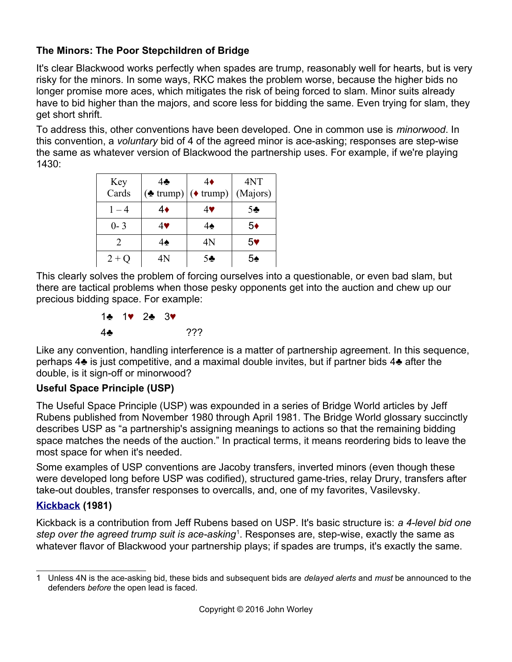## **The Minors: The Poor Stepchildren of Bridge**

It's clear Blackwood works perfectly when spades are trump, reasonably well for hearts, but is very risky for the minors. In some ways, RKC makes the problem worse, because the higher bids no longer promise more aces, which mitigates the risk of being forced to slam. Minor suits already have to bid higher than the majors, and score less for bidding the same. Even trying for slam, they get short shrift.

To address this, other conventions have been developed. One in common use is *minorwood*. In this convention, a *voluntary* bid of 4 of the agreed minor is ace-asking; responses are step-wise the same as whatever version of Blackwood the partnership uses. For example, if we're playing 1430:

| Key                         | 4                                       | 4♦ | 4NT            |
|-----------------------------|-----------------------------------------|----|----------------|
| Cards                       | $(\triangle$ trump) $(\triangle$ trump) |    | (Majors)       |
| $1 - 4$                     | 4♦                                      | 4♥ | 5 <sub>2</sub> |
| $0 - 3$                     | 4♥                                      | 4♠ | 5♦             |
| $\mathcal{D}_{\mathcal{L}}$ | 4♠                                      | 4Ν | 5۷             |
| $2 + O$                     | 4N                                      | 54 | 54             |

This clearly solves the problem of forcing ourselves into a questionable, or even bad slam, but there are tactical problems when those pesky opponents get into the auction and chew up our precious bidding space. For example:

> 1♣ 1♥ 2♣ 3♥ 4♣ ???

Like any convention, handling interference is a matter of partnership agreement. In this sequence, perhaps 4♣ is just competitive, and a maximal double invites, but if partner bids 4♣ after the double, is it sign-off or minorwood?

# **Useful Space Principle (USP)**

The Useful Space Principle (USP) was expounded in a series of Bridge World articles by Jeff Rubens published from November 1980 through April 1981. The Bridge World glossary succinctly describes USP as "a partnership's assigning meanings to actions so that the remaining bidding space matches the needs of the auction." In practical terms, it means reordering bids to leave the most space for when it's needed.

Some examples of USP conventions are Jacoby transfers, inverted minors (even though these were developed long before USP was codified), structured game-tries, relay Drury, transfers after take-out doubles, transfer responses to overcalls, and, one of my favorites, Vasilevsky.

## **[Kickback](http://www.bridgeguys.com/Conventions/kickback_jeff_rubens.html) (1981)**

Kickback is a contribution from Jeff Rubens based on USP. It's basic structure is: *a 4-level bid one*  step over the agreed trump suit is ace-asking<sup>[1](#page-1-0)</sup>. Responses are, step-wise, exactly the same as whatever flavor of Blackwood your partnership plays; if spades are trumps, it's exactly the same.

<span id="page-1-0"></span><sup>1</sup> Unless 4N is the ace-asking bid, these bids and subsequent bids are *delayed alerts* and *must* be announced to the defenders *before* the open lead is faced.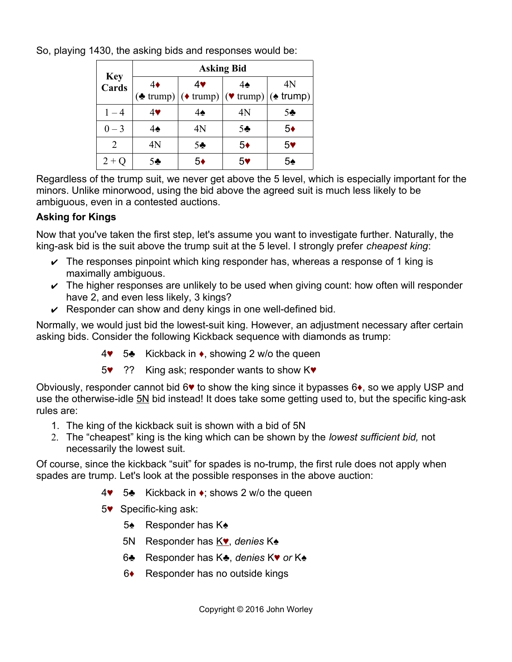So, playing 1430, the asking bids and responses would be:

|                     | <b>Asking Bid</b> |                |                |                                                                             |  |  |  |  |  |
|---------------------|-------------------|----------------|----------------|-----------------------------------------------------------------------------|--|--|--|--|--|
| <b>Key</b><br>Cards | $4\bullet$        | 4♥             | 4♠             | 4N<br>(♦ trump) $ $ (♦ trump) $ $ (♥ trump) $ $ (♦ trump)<br>5 <sub>2</sub> |  |  |  |  |  |
| $1 - 4$             | 4♥                | 4♠             | 4N             |                                                                             |  |  |  |  |  |
| $0 - 3$             | 4♠                | 4N             | 5 <sub>2</sub> | $5*$                                                                        |  |  |  |  |  |
| $\mathfrak{D}$      | 4N                | 5 <sub>2</sub> | 5♦             | 5 <sub>v</sub>                                                              |  |  |  |  |  |
| $2+Q$               | 5♣                | 5♦             | 5♥             | 5♠                                                                          |  |  |  |  |  |

Regardless of the trump suit, we never get above the 5 level, which is especially important for the minors. Unlike minorwood, using the bid above the agreed suit is much less likely to be ambiguous, even in a contested auctions.

## **Asking for Kings**

Now that you've taken the first step, let's assume you want to investigate further. Naturally, the king-ask bid is the suit above the trump suit at the 5 level. I strongly prefer *cheapest king*:

- $\triangleright$  The responses pinpoint which king responder has, whereas a response of 1 king is maximally ambiguous.
- $\triangleright$  The higher responses are unlikely to be used when giving count: how often will responder have 2, and even less likely, 3 kings?
- $\vee$  Responder can show and deny kings in one well-defined bid.

Normally, we would just bid the lowest-suit king. However, an adjustment necessary after certain asking bids. Consider the following Kickback sequence with diamonds as trump:

- 4♥ 5♣ Kickback in ♦, showing 2 w/o the queen
- 5♥ ?? King ask; responder wants to show K♥

Obviously, responder cannot bid 6♥ to show the king since it bypasses 6♦, so we apply USP and use the otherwise-idle 5N bid instead! It does take some getting used to, but the specific king-ask rules are:

- 1. The king of the kickback suit is shown with a bid of 5N
- 2. The "cheapest" king is the king which can be shown by the *lowest sufficient bid,* not necessarily the lowest suit.

Of course, since the kickback "suit" for spades is no-trump, the first rule does not apply when spades are trump. Let's look at the possible responses in the above auction:

- 4♥ 5♣ Kickback in ♦; shows 2 w/o the queen
- 5♥ Specific-king ask:
	- 5♠ Responder has K♠
	- 5N Responder has K♥, *denies* K♠
	- 6♣ Responder has K♣, *denies* K♥ *or* K♠
	- 6♦ Responder has no outside kings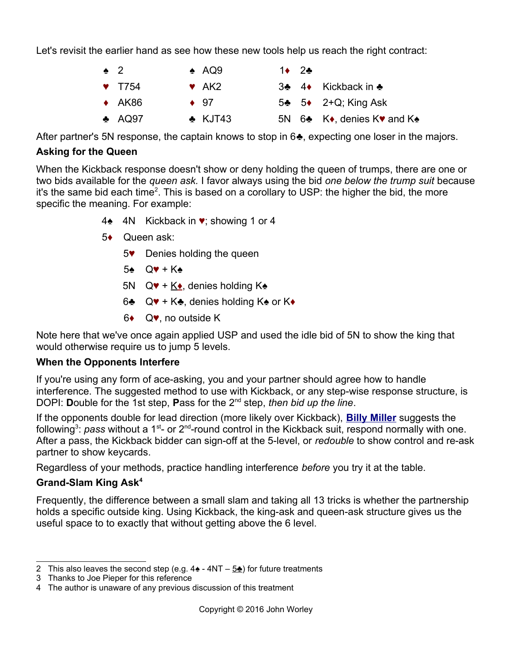Let's revisit the earlier hand as see how these new tools help us reach the right contract:

| $\bullet$ 2 |                           | $\triangle$ AQ9   | $1\bullet 2\bullet$ |                                                                  |
|-------------|---------------------------|-------------------|---------------------|------------------------------------------------------------------|
|             | $\blacktriangledown$ T754 | $\bullet$ AK2     |                     | 3♣ 4♦ Kickback in ♣                                              |
|             | $\leftrightarrow$ AK86    | $\bullet$ 97      |                     | $5\clubsuit$ 5 $\spadesuit$ 2+Q; King Ask                        |
|             | $\triangle$ AQ97          | $\triangle$ KJT43 |                     | 5N $6\clubsuit$ K $\bullet$ , denies K $\bullet$ and K $\bullet$ |

After partner's 5N response, the captain knows to stop in 6♣, expecting one loser in the majors.

## **Asking for the Queen**

When the Kickback response doesn't show or deny holding the queen of trumps, there are one or two bids available for the *queen ask.* I favor always using the bid *one below the trump suit* because it's the same bid each time<sup>[2](#page-3-0)</sup>. This is based on a corollary to USP: the higher the bid, the more specific the meaning. For example:

- 4♠ 4N Kickback in ♥; showing 1 or 4
- 5♦ Queen ask:
	- 5♥ Denies holding the queen
	- 5♠ Q♥ + K♠
	- 5N  $Q\Psi$  + K $\bullet$ , denies holding K $\bullet$
	- 6♣  $Q\Psi$  + K♣, denies holding K♠ or K♦
	- 6♦ Q♥, no outside K

Note here that we've once again applied USP and used the idle bid of 5N to show the king that would otherwise require us to jump 5 levels.

## **When the Opponents Interfere**

If you're using any form of ace-asking, you and your partner should agree how to handle interference. The suggested method to use with Kickback, or any step-wise response structure, is DOPI: **D**ouble for the 1st step, **P**ass for the 2nd step, *then bid up the line*.

If the opponents double for lead direction (more likely over Kickback), **[Billy Miller](http://www.northerncoloradobridge.com/archives/playerscorner/BillyMiller.pdf)** suggests the following<sup>[3](#page-3-1)</sup>: pass without a 1<sup>st</sup>- or 2<sup>nd</sup>-round control in the Kickback suit, respond normally with one. After a pass, the Kickback bidder can sign-off at the 5-level, or *redouble* to show control and re-ask partner to show keycards.

Regardless of your methods, practice handling interference *before* you try it at the table.

# **Grand-Slam King Ask[4](#page-3-2)**

Frequently, the difference between a small slam and taking all 13 tricks is whether the partnership holds a specific outside king. Using Kickback, the king-ask and queen-ask structure gives us the useful space to to exactly that without getting above the 6 level.

<span id="page-3-0"></span><sup>2</sup> This also leaves the second step (e.g.  $4\triangleq -4NT - 5\triangleq$ ) for future treatments

<span id="page-3-1"></span><sup>3</sup> Thanks to Joe Pieper for this reference

<span id="page-3-2"></span><sup>4</sup> The author is unaware of any previous discussion of this treatment